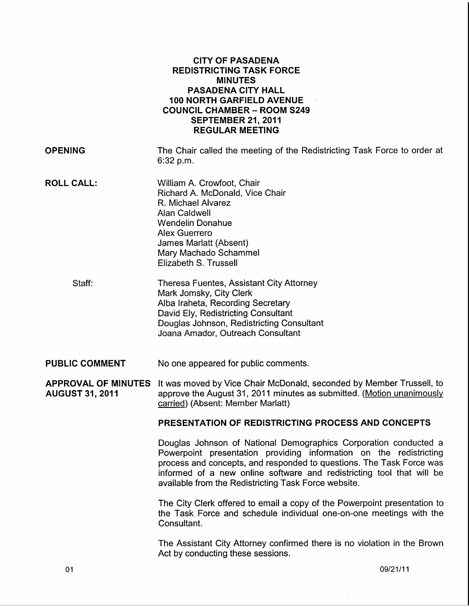## CITY OF PASADENA REDISTRICTING TASK FORCE MINUTES PASADENA CITY HALL 100 NORTH GARFIELD AVENUE COUNCIL CHAMBER- ROOM S249 SEPTEMBER 21, 2011 REGULAR MEETING

**OPENING** 

The Chair called the meeting of the Redistricting Task Force to order at 6:32 p.m.

ROLL CALL:

William A. Crowfoot, Chair Richard A. McDonald, Vice Chair R. Michael Alvarez Alan Caldwell Wendelin Donahue Alex Guerrero James Marlatt (Absent) Mary Machado Schammel Elizabeth S. Trussell

Staff:

Theresa Fuentes, Assistant City Attorney Mark Jomsky, City Clerk Alba lraheta, Recording Secretary David Ely, Redistricting Consultant Douglas Johnson, Redistricting Consultant Joana Amador, Outreach Consultant

#### PUBLIC COMMENT No one appeared for public comments.

APPROVAL OF MINUTES It was moved by Vice Chair McDonald, seconded by Member Trussell, to AUGUST 31, 2011 approve the August 31, 2011 minutes as submitted. (Motion unanimously carried) (Absent: Member Marlatt)

### PRESENTATION OF REDISTRICTING PROCESS AND CONCEPTS

Douglas Johnson of National Demographics Corporation conducted a Powerpoint presentation providing information on the redistricting process and concepts, and responded to questions. The Task Force was informed of a new online software and redistricting tool that will be available from the Redistricting Task Force website.

The City Clerk offered to email a copy of the Powerpoint presentation to the Task Force and schedule individual one-on-one meetings with the Consultant.

The Assistant City Attorney confirmed there is no violation in the Brown Act by conducting these sessions.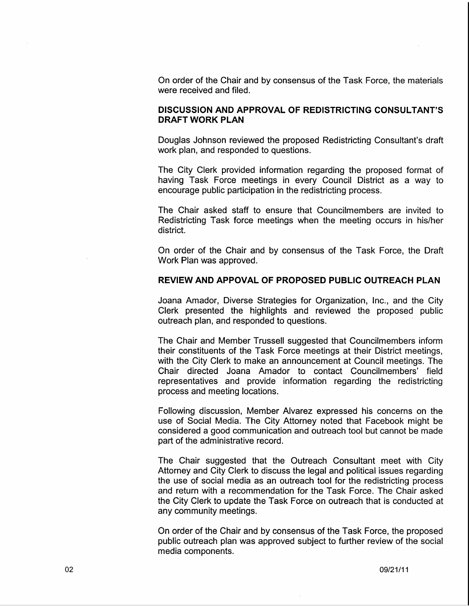On order of the Chair and by consensus of the Task Force, the materials were received and filed.

#### **DISCUSSION AND APPROVAL OF REDISTRICTING CONSULTANT'S DRAFT WORK PLAN**

Douglas Johnson reviewed the proposed Redistricting Consultant's draft work plan, and responded to questions.

The City Clerk provided information regarding the proposed format of having Task Force meetings in every Council District as a way to encourage public participation in the redistricting process.

The Chair asked staff to ensure that Councilmembers are invited to Redistricting Task force meetings when the meeting occurs in his/her district.

On order of the Chair and by consensus of the Task Force, the Draft Work Plan was approved.

#### **REVIEW AND APPOVAL OF PROPOSED PUBLIC OUTREACH PLAN**

Joana Amador, Diverse Strategies for Organization, Inc., and the City Clerk presented the highlights and reviewed the proposed public outreach plan, and responded to questions.

The Chair and Member Trussell suggested that Councilmembers inform their constituents of the Task Force meetings at their District meetings, with the City Clerk to make an announcement at Council meetings. The Chair directed Joana Amador to contact Councilmembers' field representatives and provide information regarding the redistricting process and meeting locations.

Following discussion, Member Alvarez expressed his concerns on the use of Social Media. The City Attorney noted that Facebook might be considered a good communication and outreach tool but cannot be made part of the administrative record.

The Chair suggested that the Outreach Consultant meet with City Attorney and City Clerk to discuss the legal and political issues regarding the use of social media as an outreach tool for the redistricting process and return with a recommendation for the Task Force. The Chair asked the City Clerk to update the Task Force on outreach that is conducted at any community meetings.

On order of the Chair and by consensus of the Task Force, the proposed public outreach plan was approved subject to further review of the social media components.